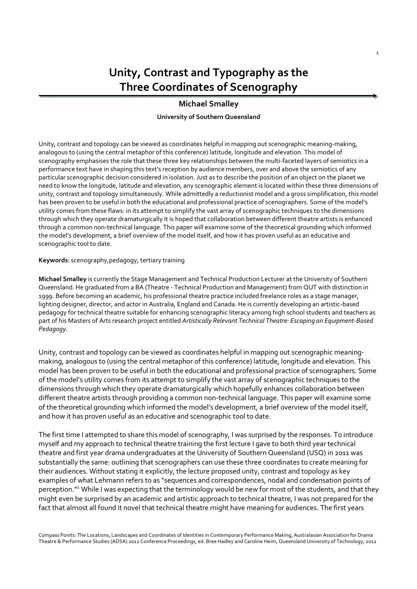# Unity, Contrast and Typography as the Three Coordinates of Scenography

1

## Michael Smalley

#### University of Southern Queensland

Unity, contrast and topology can be viewed as coordinates helpful in mapping out scenographic meaning-making, analogous to (using the central metaphor of this conference) latitude, longitude and elevation. This model of scenography emphasises the role that these three key relationships between the multi-faceted layers of semiotics in a performance text have in shaping this text's reception by audience members, over and above the semiotics of any particular scenographic decision considered in isolation. Just as to describe the position of an object on the planet we need to know the longitude, latitude and elevation, any scenographic element is located within these three dimensions of unity, contrast and topology simultaneously. While admittedly a reductionist model and a gross simplification, this model has been proven to be useful in both the educational and professional practice of scenographers. Some of the model's utility comes from these flaws: in its attempt to simplify the vast array of scenographic techniques to the dimensions through which they operate dramaturgically it is hoped that collaboration between different theatre artists is enhanced through a common non-technical language. This paper will examine some of the theoretical grounding which informed the model's development, a brief overview of the model itself, and how it has proven useful as an educative and scenographic tool to date.

#### Keywords: scenography,pedagogy, tertiary training

Michael Smalley is currently the Stage Management and Technical Production Lecturer at the University of Southern Queensland. He graduated from a BA (Theatre - Technical Production and Management) from QUT with distinction in 1999. Before becoming an academic, his professional theatre practice included freelance roles as a stage manager, lighting designer, director, and actor in Australia, England and Canada. He is currently developing an artistic-based pedagogy for technical theatre suitable for enhancing scenographic literacy among high school students and teachers as part of his Masters of Arts research project entitled Artistically Relevant Technical Theatre: Escaping an Equipment-Based Pedagogy.

Unity, contrast and topology can be viewed as coordinates helpful in mapping out scenographic meaningmaking, analogous to (using the central metaphor of this conference) latitude, longitude and elevation. This model has been proven to be useful in both the educational and professional practice of scenographers. Some of the model's utility comes from its attempt to simplify the vast array of scenographic techniques to the dimensions through which they operate dramaturgically which hopefully enhances collaboration between different theatre artists through providing a common non-technical language. This paper will examine some of the theoretical grounding which informed the model's development, a brief overview of the model itself, and how it has proven useful as an educative and scenographic tool to date.

The first time I attempted to share this model of scenography, I was surprised by the responses. To introduce myself and my approach to technical theatre training the first lecture I gave to both third year technical theatre and first year drama undergraduates at the University of Southern Queensland (USQ) in 2011 was substantially the same: outlining that scenographers can use these three coordinates to create meaning for their audiences. Without stating it explicitly, the lecture proposed unity, contrast and topology as key examples of what Lehmann refers to as "sequences and correspondences, nodal and condensation points of perception."<sup>1</sup>While I was expecting that the terminology would be new for most of the students, and that they might even be surprised by an academic and artistic approach to technical theatre, I was not prepared for the fact that almost all found it novel that technical theatre might have meaning for audiences. The first years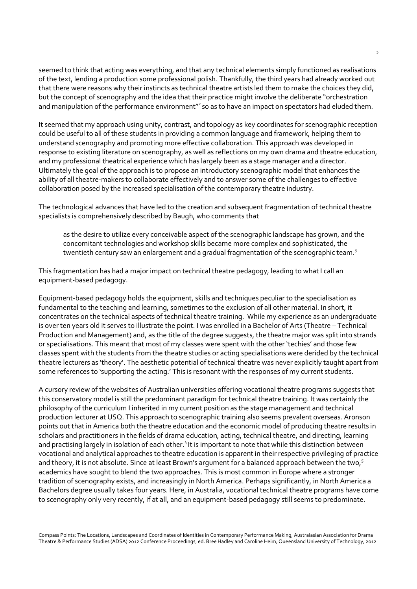seemed to think that acting was everything, and that any technical elements simply functioned as realisations of the text, lending a production some professional polish. Thankfully, the third years had already worked out that there were reasons why their instincts as technical theatre artists led them to make the choices they did, but the concept of scenography and the idea that their practice might involve the deliberate "orchestration and manipulation of the performance environment"<sup>2</sup> so as to have an impact on spectators had eluded them.

It seemed that my approach using unity, contrast, and topology as key coordinates for scenographic reception could be useful to all of these students in providing a common language and framework, helping them to understand scenography and promoting more effective collaboration. This approach was developed in response to existing literature on scenography, as well as reflections on my own drama and theatre education, and my professional theatrical experience which has largely been as a stage manager and a director. Ultimately the goal of the approach is to propose an introductory scenographic model that enhances the ability of all theatre-makers to collaborate effectively and to answer some of the challenges to effective collaboration posed by the increased specialisation of the contemporary theatre industry.

The technological advances that have led to the creation and subsequent fragmentation of technical theatre specialists is comprehensively described by Baugh, who comments that

as the desire to utilize every conceivable aspect of the scenographic landscape has grown, and the concomitant technologies and workshop skills became more complex and sophisticated, the twentieth century saw an enlargement and a gradual fragmentation of the scenographic team.<sup>3</sup>

This fragmentation has had a major impact on technical theatre pedagogy, leading to what I call an equipment-based pedagogy.

Equipment-based pedagogy holds the equipment, skills and techniques peculiar to the specialisation as fundamental to the teaching and learning, sometimes to the exclusion of all other material. In short, it concentrates on the technical aspects of technical theatre training. While my experience as an undergraduate is over ten years old it serves to illustrate the point. I was enrolled in a Bachelor of Arts (Theatre – Technical Production and Management) and, as the title of the degree suggests, the theatre major was split into strands or specialisations. This meant that most of my classes were spent with the other 'techies' and those few classes spent with the students from the theatre studies or acting specialisations were derided by the technical theatre lecturers as 'theory'. The aesthetic potential of technical theatre was never explicitly taught apart from some references to 'supporting the acting.' This is resonant with the responses of my current students.

A cursory review of the websites of Australian universities offering vocational theatre programs suggests that this conservatory model is still the predominant paradigm for technical theatre training. It was certainly the philosophy of the curriculum I inherited in my current position as the stage management and technical production lecturer at USQ. This approach to scenographic training also seems prevalent overseas. Aronson points out that in America both the theatre education and the economic model of producing theatre results in scholars and practitioners in the fields of drama education, acting, technical theatre, and directing, learning and practising largely in isolation of each other.<sup>4</sup> It is important to note that while this distinction between vocational and analytical approaches to theatre education is apparent in their respective privileging of practice and theory, it is not absolute. Since at least Brown's argument for a balanced approach between the two,<sup>5</sup> academics have sought to blend the two approaches. This is most common in Europe where a stronger tradition of scenography exists, and increasingly in North America. Perhaps significantly, in North America a Bachelors degree usually takes four years. Here, in Australia, vocational technical theatre programs have come to scenography only very recently, if at all, and an equipment-based pedagogy still seems to predominate.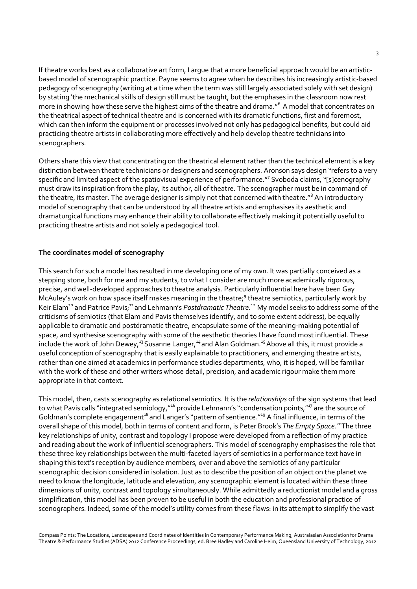If theatre works best as a collaborative art form, I argue that a more beneficial approach would be an artisticbased model of scenographic practice. Payne seems to agree when he describes his increasingly artistic-based pedagogy of scenography (writing at a time when the term was still largely associated solely with set design) by stating 'the mechanical skills of design still must be taught, but the emphases in the classroom now rest more in showing how these serve the highest aims of the theatre and drama."<sup>6</sup> A model that concentrates on the theatrical aspect of technical theatre and is concerned with its dramatic functions, first and foremost, which can then inform the equipment or processes involved not only has pedagogical benefits, but could aid practicing theatre artists in collaborating more effectively and help develop theatre technicians into scenographers.

Others share this view that concentrating on the theatrical element rather than the technical element is a key distinction between theatre technicians or designers and scenographers. Aronson says design "refers to a very specific and limited aspect of the spatiovisual experience of performance."<sup>7</sup> Svoboda claims, "[s]cenography must draw its inspiration from the play, its author, all of theatre. The scenographer must be in command of the theatre, its master. The average designer is simply not that concerned with theatre."<sup>8</sup> An introductory model of scenography that can be understood by all theatre artists and emphasises its aesthetic and dramaturgical functions may enhance their ability to collaborate effectively making it potentially useful to practicing theatre artists and not solely a pedagogical tool.

## The coordinates model of scenography

This search for such a model has resulted in me developing one of my own. It was partially conceived as a stepping stone, both for me and my students, to what I consider are much more academically rigorous, precise, and well-developed approaches to theatre analysis. Particularly influential here have been Gay McAuley's work on how space itself makes meaning in the theatre;<sup>9</sup> theatre semiotics, particularly work by Keir Elam<sup>10</sup> and Patrice Pavis;<sup>11</sup> and Lehmann's Postdramatic Theatre.<sup>12</sup> My model seeks to address some of the criticisms of semiotics (that Elam and Pavis themselves identify, and to some extent address), be equally applicable to dramatic and postdramatic theatre, encapsulate some of the meaning-making potential of space, and synthesise scenography with some of the aesthetic theories I have found most influential. These include the work of John Dewey,<sup>13</sup> Susanne Langer,<sup>14</sup> and Alan Goldman.<sup>15</sup> Above all this, it must provide a useful conception of scenography that is easily explainable to practitioners, and emerging theatre artists, rather than one aimed at academics in performance studies departments, who, it is hoped, will be familiar with the work of these and other writers whose detail, precision, and academic rigour make them more appropriate in that context.

This model, then, casts scenography as relational semiotics. It is the relationships of the sign systems that lead to what Pavis calls "integrated semiology,"<sup>16</sup> provide Lehmann's "condensation points,"<sup>17</sup> are the source of Goldman's complete engagement<sup>18</sup> and Langer's "pattern of sentience."<sup>19</sup> A final influence, in terms of the overall shape of this model, both in terms of content and form, is Peter Brook's The Empty Space.<sup>20</sup>The three key relationships of unity, contrast and topology I propose were developed from a reflection of my practice and reading about the work of influential scenographers. This model of scenography emphasises the role that these three key relationships between the multi-faceted layers of semiotics in a performance text have in shaping this text's reception by audience members, over and above the semiotics of any particular scenographic decision considered in isolation. Just as to describe the position of an object on the planet we need to know the longitude, latitude and elevation, any scenographic element is located within these three dimensions of unity, contrast and topology simultaneously. While admittedly a reductionist model and a gross simplification, this model has been proven to be useful in both the education and professional practice of scenographers. Indeed, some of the model's utility comes from these flaws: in its attempt to simplify the vast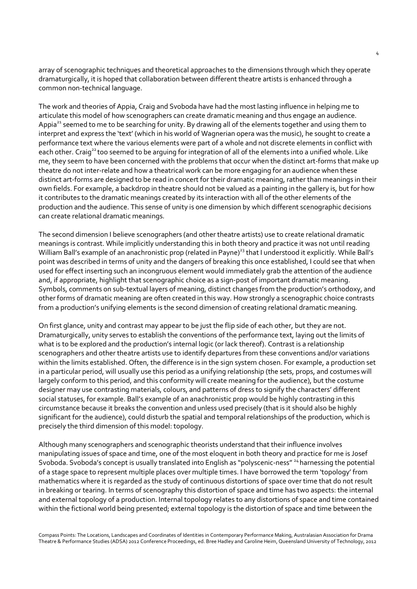array of scenographic techniques and theoretical approaches to the dimensions through which they operate dramaturgically, it is hoped that collaboration between different theatre artists is enhanced through a common non-technical language.

The work and theories of Appia, Craig and Svoboda have had the most lasting influence in helping me to articulate this model of how scenographers can create dramatic meaning and thus engage an audience. Appia<sup>21</sup> seemed to me to be searching for unity. By drawing all of the elements together and using them to interpret and express the 'text' (which in his world of Wagnerian opera was the music), he sought to create a performance text where the various elements were part of a whole and not discrete elements in conflict with each other. Craig<sup>22</sup> too seemed to be arguing for integration of all of the elements into a unified whole. Like me, they seem to have been concerned with the problems that occur when the distinct art-forms that make up theatre do not inter-relate and how a theatrical work can be more engaging for an audience when these distinct art-forms are designed to be read in concert for their dramatic meaning, rather than meanings in their own fields. For example, a backdrop in theatre should not be valued as a painting in the gallery is, but for how it contributes to the dramatic meanings created by its interaction with all of the other elements of the production and the audience. This sense of unity is one dimension by which different scenographic decisions can create relational dramatic meanings.

The second dimension I believe scenographers (and other theatre artists) use to create relational dramatic meanings is contrast. While implicitly understanding this in both theory and practice it was not until reading William Ball's example of an anachronistic prop (related in Payne)<sup>23</sup> that I understood it explicitly. While Ball's point was described in terms of unity and the dangers of breaking this once established, I could see that when used for effect inserting such an incongruous element would immediately grab the attention of the audience and, if appropriate, highlight that scenographic choice as a sign-post of important dramatic meaning. Symbols, comments on sub-textual layers of meaning, distinct changes from the production's orthodoxy, and other forms of dramatic meaning are often created in this way. How strongly a scenographic choice contrasts from a production's unifying elements is the second dimension of creating relational dramatic meaning.

On first glance, unity and contrast may appear to be just the flip side of each other, but they are not. Dramaturgically, unity serves to establish the conventions of the performance text, laying out the limits of what is to be explored and the production's internal logic (or lack thereof). Contrast is a relationship scenographers and other theatre artists use to identify departures from these conventions and/or variations within the limits established. Often, the difference is in the sign system chosen. For example, a production set in a particular period, will usually use this period as a unifying relationship (the sets, props, and costumes will largely conform to this period, and this conformity will create meaning for the audience), but the costume designer may use contrasting materials, colours, and patterns of dress to signify the characters' different social statuses, for example. Ball's example of an anachronistic prop would be highly contrasting in this circumstance because it breaks the convention and unless used precisely (that is it should also be highly significant for the audience), could disturb the spatial and temporal relationships of the production, which is precisely the third dimension of this model: topology.

Although many scenographers and scenographic theorists understand that their influence involves manipulating issues of space and time, one of the most eloquent in both theory and practice for me is Josef Svoboda. Svoboda's concept is usually translated into English as "polyscenic-ness" <sup>24</sup> harnessing the potential of a stage space to represent multiple places over multiple times. I have borrowed the term 'topology' from mathematics where it is regarded as the study of continuous distortions of space over time that do not result in breaking or tearing. In terms of scenography this distortion of space and time has two aspects: the internal and external topology of a production. Internal topology relates to any distortions of space and time contained within the fictional world being presented; external topology is the distortion of space and time between the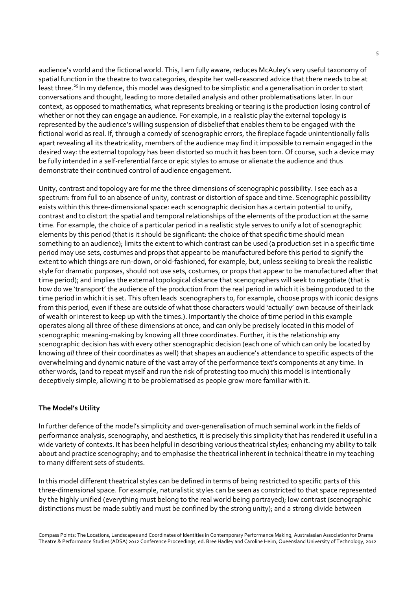audience's world and the fictional world. This, I am fully aware, reduces McAuley's very useful taxonomy of spatial function in the theatre to two categories, despite her well-reasoned advice that there needs to be at least three.<sup>25</sup> In my defence, this model was designed to be simplistic and a generalisation in order to start conversations and thought, leading to more detailed analysis and other problematisations later. In our context, as opposed to mathematics, what represents breaking or tearing is the production losing control of whether or not they can engage an audience. For example, in a realistic play the external topology is represented by the audience's willing suspension of disbelief that enables them to be engaged with the fictional world as real. If, through a comedy of scenographic errors, the fireplace façade unintentionally falls apart revealing all its theatricality, members of the audience may find it impossible to remain engaged in the desired way: the external topology has been distorted so much it has been torn. Of course, such a device may be fully intended in a self-referential farce or epic styles to amuse or alienate the audience and thus demonstrate their continued control of audience engagement.

Unity, contrast and topology are for me the three dimensions of scenographic possibility. I see each as a spectrum: from full to an absence of unity, contrast or distortion of space and time. Scenographic possibility exists within this three-dimensional space: each scenographic decision has a certain potential to unify, contrast and to distort the spatial and temporal relationships of the elements of the production at the same time. For example, the choice of a particular period in a realistic style serves to unify a lot of scenographic elements by this period (that is it should be significant: the choice of that specific time should mean something to an audience); limits the extent to which contrast can be used (a production set in a specific time period may use sets, costumes and props that appear to be manufactured before this period to signify the extent to which things are run-down, or old-fashioned, for example, but, unless seeking to break the realistic style for dramatic purposes, should not use sets, costumes, or props that appear to be manufactured after that time period); and implies the external topological distance that scenographers will seek to negotiate (that is how do we 'transport' the audience of the production from the real period in which it is being produced to the time period in which it is set. This often leads scenographers to, for example, choose props with iconic designs from this period, even if these are outside of what those characters would 'actually' own because of their lack of wealth or interest to keep up with the times.). Importantly the choice of time period in this example operates along all three of these dimensions at once, and can only be precisely located in this model of scenographic meaning-making by knowing all three coordinates. Further, it is the relationship any scenographic decision has with every other scenographic decision (each one of which can only be located by knowing all three of their coordinates as well) that shapes an audience's attendance to specific aspects of the overwhelming and dynamic nature of the vast array of the performance text's components at any time. In other words, (and to repeat myself and run the risk of protesting too much) this model is intentionally deceptively simple, allowing it to be problematised as people grow more familiar with it.

## The Model's Utility

In further defence of the model's simplicity and over-generalisation of much seminal work in the fields of performance analysis, scenography, and aesthetics, it is precisely this simplicity that has rendered it useful in a wide variety of contexts. It has been helpful in describing various theatrical styles; enhancing my ability to talk about and practice scenography; and to emphasise the theatrical inherent in technical theatre in my teaching to many different sets of students.

In this model different theatrical styles can be defined in terms of being restricted to specific parts of this three-dimensional space. For example, naturalistic styles can be seen as constricted to that space represented by the highly unified (everything must belong to the real world being portrayed); low contrast (scenographic distinctions must be made subtly and must be confined by the strong unity); and a strong divide between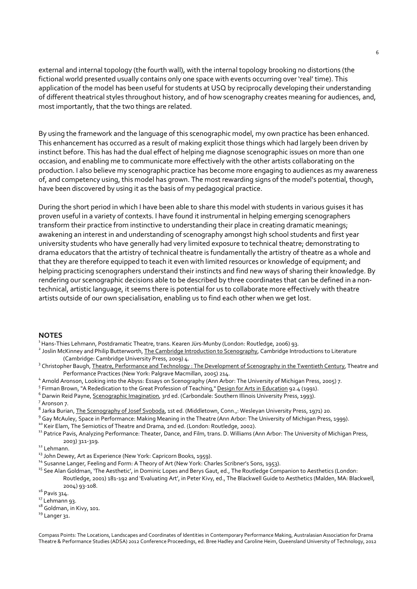external and internal topology (the fourth wall), with the internal topology brooking no distortions (the fictional world presented usually contains only one space with events occurring over 'real' time). This application of the model has been useful for students at USQ by reciprocally developing their understanding of different theatrical styles throughout history, and of how scenography creates meaning for audiences, and, most importantly, that the two things are related.

By using the framework and the language of this scenographic model, my own practice has been enhanced. This enhancement has occurred as a result of making explicit those things which had largely been driven by instinct before. This has had the dual effect of helping me diagnose scenographic issues on more than one occasion, and enabling me to communicate more effectively with the other artists collaborating on the production. I also believe my scenographic practice has become more engaging to audiences as my awareness of, and competency using, this model has grown. The most rewarding signs of the model's potential, though, have been discovered by using it as the basis of my pedagogical practice.

During the short period in which I have been able to share this model with students in various guises it has proven useful in a variety of contexts. I have found it instrumental in helping emerging scenographers transform their practice from instinctive to understanding their place in creating dramatic meanings; awakening an interest in and understanding of scenography amongst high school students and first year university students who have generally had very limited exposure to technical theatre; demonstrating to drama educators that the artistry of technical theatre is fundamentally the artistry of theatre as a whole and that they are therefore equipped to teach it even with limited resources or knowledge of equipment; and helping practicing scenographers understand their instincts and find new ways of sharing their knowledge. By rendering our scenographic decisions able to be described by three coordinates that can be defined in a nontechnical, artistic language, it seems there is potential for us to collaborate more effectively with theatre artists outside of our own specialisation, enabling us to find each other when we get lost.

### **NOTES**

- <sup>1</sup>Hans-Thies Lehmann, Postdramatic Theatre, trans. Kearen Jürs-Munby (London: Routledge, 2006) 93.
- <sup>2</sup> Joslin McKinney and Philip Butterworth, The Cambridge Introduction to Scenography, Cambridge Introductions to Literature (Cambridge: Cambridge University Press, 2009) 4.
- <sup>3</sup> Christopher Baugh, Theatre, Performance and Technology : The Development of Scenography in the Twentieth Century, Theatre and Performance Practices (New York: Palgrave Macmillan, 2005) 214.
- 4 Arnold Aronson, Looking into the Abyss: Essays on Scenography (Ann Arbor: The University of Michigan Press, 2005) 7.
- <sup>5</sup> Firman Brown, "A Rededication to the Great Profession of Teaching," Design for Arts in Education 92.4 (1991).
- 6 Darwin Reid Payne, Scenographic Imagination, 3rd ed. (Carbondale: Southern Illinois University Press, 1993).
- <sup>7</sup> Aronson 7.
- <sup>8</sup> Jarka Burian, <u>The Scenography of Josef Svoboda</u>, 1st ed. (Middletown, Conn.,: Wesleyan University Press, 1971) 20.
- <sup>9</sup> Gay McAuley, Space in Performance: Making Meaning in the Theatre (Ann Arbor: The University of Michigan Press, 1999).

<sup>10</sup> Keir Elam, The Semiotics of Theatre and Drama, 2nd ed. (London: Routledge, 2002).

<sup>11</sup> Patrice Pavis, Analyzing Performance: Theater, Dance, and Film, trans. D. Williams (Ann Arbor: The University of Michigan Press, 2003) 311-319.

- <sup>12</sup> Lehmann.
- <sup>13</sup> John Dewey, Art as Experience (New York: Capricorn Books, 1959).
- <sup>14</sup> Susanne Langer, Feeling and Form: A Theory of Art (New York: Charles Scribner's Sons, 1953).
- <sup>15</sup> See Alan Goldman, 'The Aesthetic', in Dominic Lopes and Berys Gaut, ed., The Routledge Companion to Aesthetics (London: Routledge, 2001) 181-192 and 'Evaluating Art', in Peter Kivy, ed., The Blackwell Guide to Aesthetics (Malden, MA: Blackwell,
	- 2004) 93-108.

 $16$  Pavis 314.

- <sup>17</sup> Lehmann 93.
- <sup>18</sup> Goldman, in Kivy, 101.
- $19$  Langer 31.